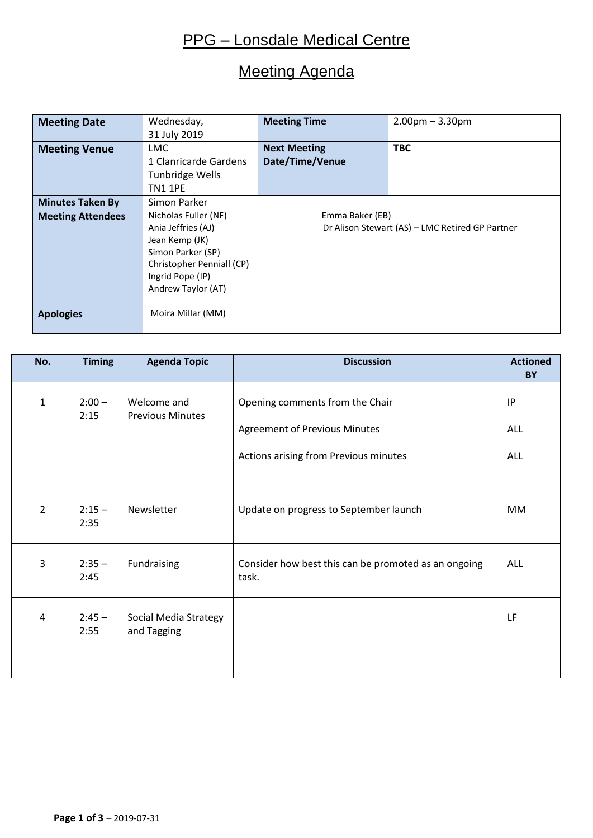## Meeting Agenda

| <b>Meeting Date</b>      | Wednesday,                | <b>Meeting Time</b>                             | $2.00$ pm $- 3.30$ pm |  |  |
|--------------------------|---------------------------|-------------------------------------------------|-----------------------|--|--|
|                          | 31 July 2019              |                                                 |                       |  |  |
| <b>Meeting Venue</b>     | <b>LMC</b>                | <b>Next Meeting</b>                             | <b>TBC</b>            |  |  |
|                          | 1 Clanricarde Gardens     | Date/Time/Venue                                 |                       |  |  |
|                          | <b>Tunbridge Wells</b>    |                                                 |                       |  |  |
|                          | <b>TN1 1PE</b>            |                                                 |                       |  |  |
| <b>Minutes Taken By</b>  | Simon Parker              |                                                 |                       |  |  |
| <b>Meeting Attendees</b> | Nicholas Fuller (NF)      | Emma Baker (EB)                                 |                       |  |  |
|                          | Ania Jeffries (AJ)        | Dr Alison Stewart (AS) - LMC Retired GP Partner |                       |  |  |
|                          | Jean Kemp (JK)            |                                                 |                       |  |  |
|                          | Simon Parker (SP)         |                                                 |                       |  |  |
|                          | Christopher Penniall (CP) |                                                 |                       |  |  |
|                          | Ingrid Pope (IP)          |                                                 |                       |  |  |
|                          | Andrew Taylor (AT)        |                                                 |                       |  |  |
|                          |                           |                                                 |                       |  |  |
| <b>Apologies</b>         | Moira Millar (MM)         |                                                 |                       |  |  |
|                          |                           |                                                 |                       |  |  |

| No.            | <b>Timing</b>    | <b>Agenda Topic</b>                    | <b>Discussion</b>                                                       | <b>Actioned</b><br>BY |
|----------------|------------------|----------------------------------------|-------------------------------------------------------------------------|-----------------------|
| $\mathbf{1}$   | $2:00 -$<br>2:15 | Welcome and<br><b>Previous Minutes</b> | Opening comments from the Chair<br><b>Agreement of Previous Minutes</b> | IP<br><b>ALL</b>      |
|                |                  |                                        | Actions arising from Previous minutes                                   | ALL                   |
| $\overline{2}$ | $2:15 -$<br>2:35 | Newsletter                             | Update on progress to September launch                                  | MM                    |
| 3              | $2:35 -$<br>2:45 | Fundraising                            | Consider how best this can be promoted as an ongoing<br>task.           | <b>ALL</b>            |
| 4              | $2:45 -$<br>2:55 | Social Media Strategy<br>and Tagging   |                                                                         | LF                    |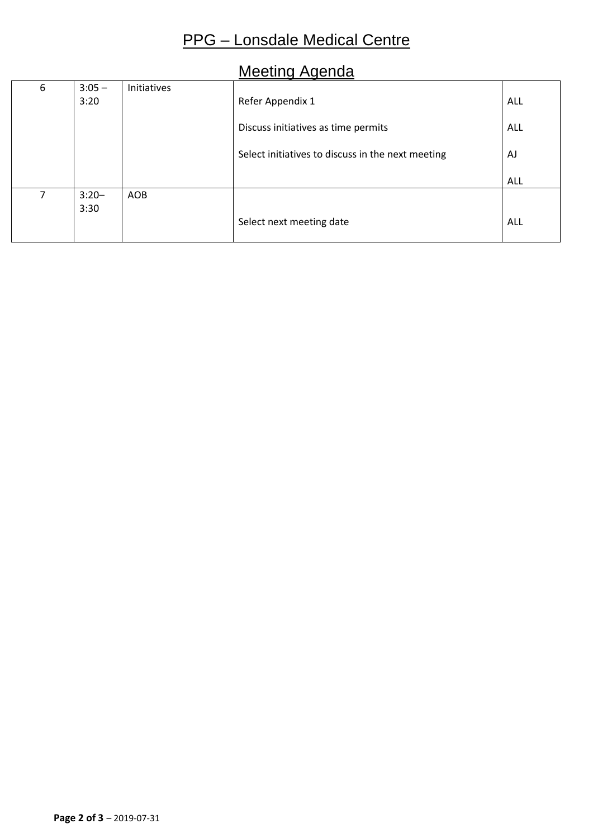# Meeting Agenda

| 6 | $3:05 -$ | Initiatives |                                                   |            |
|---|----------|-------------|---------------------------------------------------|------------|
|   | 3:20     |             | Refer Appendix 1                                  | ALL        |
|   |          |             | Discuss initiatives as time permits               | ALL        |
|   |          |             | Select initiatives to discuss in the next meeting | AJ         |
|   |          |             |                                                   | <b>ALL</b> |
| 7 | $3:20-$  | AOB         |                                                   |            |
|   | 3:30     |             |                                                   |            |
|   |          |             | Select next meeting date                          | <b>ALL</b> |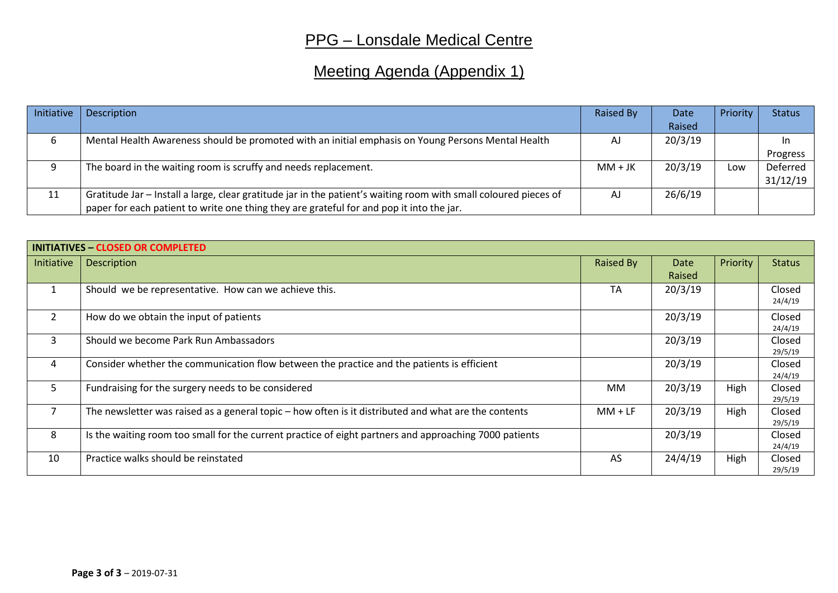# Meeting Agenda (Appendix 1)

| Initiative | Description                                                                                                      | Raised By | Date    | Priority | <b>Status</b> |
|------------|------------------------------------------------------------------------------------------------------------------|-----------|---------|----------|---------------|
|            |                                                                                                                  |           | Raised  |          |               |
| 6          | Mental Health Awareness should be promoted with an initial emphasis on Young Persons Mental Health               | AJ        | 20/3/19 |          | ın            |
|            |                                                                                                                  |           |         |          | Progress      |
| 9          | The board in the waiting room is scruffy and needs replacement.                                                  | $MM + JK$ | 20/3/19 | Low      | Deferred      |
|            |                                                                                                                  |           |         |          | 31/12/19      |
| 11         | Gratitude Jar - Install a large, clear gratitude jar in the patient's waiting room with small coloured pieces of | AJ        | 26/6/19 |          |               |
|            | paper for each patient to write one thing they are grateful for and pop it into the jar.                         |           |         |          |               |

| <b>INITIATIVES - CLOSED OR COMPLETED</b> |                                                                                                        |           |             |          |                   |  |
|------------------------------------------|--------------------------------------------------------------------------------------------------------|-----------|-------------|----------|-------------------|--|
| Initiative                               | <b>Description</b>                                                                                     |           | <b>Date</b> | Priority | <b>Status</b>     |  |
|                                          |                                                                                                        |           | Raised      |          |                   |  |
| $\mathbf{1}$                             | Should we be representative. How can we achieve this.                                                  | <b>TA</b> | 20/3/19     |          | Closed<br>24/4/19 |  |
| $\overline{2}$                           | How do we obtain the input of patients                                                                 |           | 20/3/19     |          | Closed<br>24/4/19 |  |
| $\mathbf{3}$                             | Should we become Park Run Ambassadors                                                                  |           | 20/3/19     |          | Closed<br>29/5/19 |  |
| 4                                        | Consider whether the communication flow between the practice and the patients is efficient             |           | 20/3/19     |          | Closed<br>24/4/19 |  |
| 5                                        | Fundraising for the surgery needs to be considered                                                     | MM        | 20/3/19     | High     | Closed<br>29/5/19 |  |
| $\overline{7}$                           | The newsletter was raised as a general topic – how often is it distributed and what are the contents   | $MM + LF$ | 20/3/19     | High     | Closed<br>29/5/19 |  |
| 8                                        | Is the waiting room too small for the current practice of eight partners and approaching 7000 patients |           | 20/3/19     |          | Closed<br>24/4/19 |  |
| 10                                       | Practice walks should be reinstated                                                                    | AS        | 24/4/19     | High     | Closed<br>29/5/19 |  |